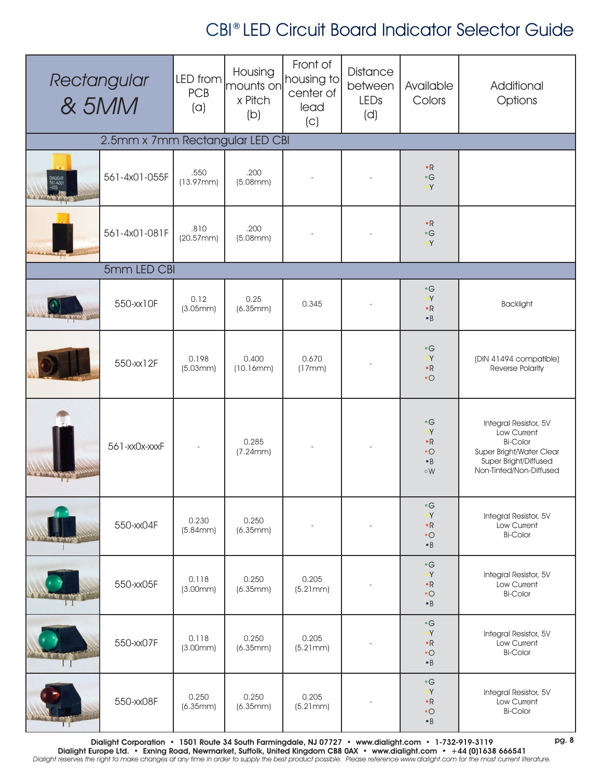## CBI® LED Circuit Board Indicator Selector Guide

| Rectangular<br>& 5MM            |               | LED from<br><b>PCB</b><br>(a) | Housing<br>mounts on<br>x Pitch<br>(b) | Front of<br>housing to<br>center of<br>lead<br>(C) | Distance<br>between<br>LEDs<br>(d) | Available<br>Colors                                                              | Additional<br>Options                                                                                                                   |  |  |
|---------------------------------|---------------|-------------------------------|----------------------------------------|----------------------------------------------------|------------------------------------|----------------------------------------------------------------------------------|-----------------------------------------------------------------------------------------------------------------------------------------|--|--|
| 2.5mm x 7mm Rectangular LED CBI |               |                               |                                        |                                                    |                                    |                                                                                  |                                                                                                                                         |  |  |
| DIALIGHT<br>561-4301            | 561-4x01-055F | .550<br>(13.97mm)             | .200<br>(5.08mm)                       |                                                    |                                    | $\cdot$ R<br>$\bullet$ $\textsf{G}$<br>$\mathsf{Y}^\bullet$                      |                                                                                                                                         |  |  |
|                                 | 561-4x01-081F | .810<br>(20.57mm)             | .200<br>(5.08mm)                       |                                                    |                                    | $\cdot$ R<br>$\bullet$ $\textsf{G}$<br>$\mathsf{Y}^\bullet$                      |                                                                                                                                         |  |  |
| 5mm LED CBI                     |               |                               |                                        |                                                    |                                    |                                                                                  |                                                                                                                                         |  |  |
|                                 | 550-xx10F     | 0.12<br>(3.05mm)              | 0.25<br>(6.35mm)                       | 0.345                                              |                                    | $\cdot$ G<br>$\bullet$ Y<br>$\bullet$ R<br>$\bullet$ B                           | <b>Backlight</b>                                                                                                                        |  |  |
|                                 | 550-xx12F     | 0.198<br>(5.03mm)             | 0.400<br>(10.16mm)                     | 0.670<br>(17mm)                                    |                                    | $\cdot$ G<br>$\bullet Y$<br>$\bullet$ R<br>$\cdot$ O                             | (DIN 41494 compatible)<br>Reverse Polarity                                                                                              |  |  |
|                                 | 561-xx0x-xxxF |                               | 0.285<br>(7.24mm)                      |                                                    |                                    | $\cdot$ G<br>$\cdot Y$<br>$\cdot$ R<br>$\cdot$ O<br>$\cdot$ B<br>°W              | Integral Resistor, 5V<br>Low Current<br><b>Bi-Color</b><br>Super Bright/Water Clear<br>Super Bright/Diffused<br>Non-Tinted/Non-Diffused |  |  |
|                                 | 550-xx04F     | 0.230<br>(5.84mm)             | 0.250<br>(6.35mm)                      |                                                    |                                    | $\bullet$ $\textsf{G}$<br>$\bullet$ Y<br>$\bullet$ R<br>$\bullet$ O<br>$\cdot$ B | Integral Resistor, 5V<br>Low Current<br><b>Bi-Color</b>                                                                                 |  |  |
|                                 | 550-xx05F     | 0.118<br>(3.00mm)             | 0.250<br>(6.35mm)                      | 0.205<br>(5.21mm)                                  |                                    | $\bullet$ G<br>$\cdot Y$<br>$\bullet$ R<br>$\bullet$ O<br>$\cdot$ B              | Integral Resistor, 5V<br>Low Current<br><b>Bi-Color</b>                                                                                 |  |  |
|                                 | 550-xx07F     | 0.118<br>(3.00mm)             | 0.250<br>(6.35mm)                      | 0.205<br>(5.21mm)                                  |                                    | $\bullet$ $\textsf{G}$<br>$\bullet Y$<br>$\bullet$ R<br>$\cdot$ O<br>$\cdot$ B   | Integral Resistor, 5V<br>Low Current<br><b>Bi-Color</b>                                                                                 |  |  |
|                                 | 550-xx08F     | 0.250<br>(6.35mm)             | 0.250<br>(6.35mm)                      | 0.205<br>(5.21mm)                                  |                                    | $\bullet$ G<br>$\cdot Y$<br>$\bullet$ R<br>$\bullet$ O<br>$\cdot$ B              | Integral Resistor, 5V<br>Low Current<br><b>Bi-Color</b>                                                                                 |  |  |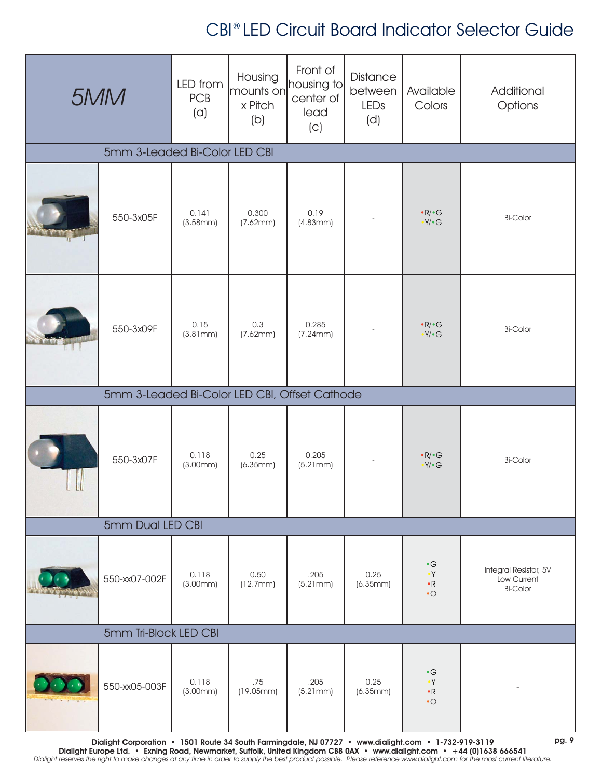## CBI® LED Circuit Board Indicator Selector Guide

| 5MM                           |                                                                                                                       | LED from<br><b>PCB</b><br>(a) | Housing<br>mounts on<br>x Pitch<br>(b) | Front of<br>housing to<br>center of<br>lead<br>(C) | <b>Distance</b><br>between<br>LEDs<br>(d) | Available<br>Colors                                | Additional<br>Options                                   |  |
|-------------------------------|-----------------------------------------------------------------------------------------------------------------------|-------------------------------|----------------------------------------|----------------------------------------------------|-------------------------------------------|----------------------------------------------------|---------------------------------------------------------|--|
| 5mm 3-Leaded Bi-Color LED CBI |                                                                                                                       |                               |                                        |                                                    |                                           |                                                    |                                                         |  |
|                               | 550-3x05F                                                                                                             | 0.141<br>(3.58mm)             | 0.300<br>(7.62mm)                      | 0.19<br>(4.83mm)                                   |                                           | $\cdot$ R/ $\cdot$ G<br>$\cdot$ Y/ $\cdot$ G       | <b>Bi-Color</b>                                         |  |
|                               | 550-3x09F                                                                                                             | 0.15<br>(3.81mm)              | 0.3<br>(7.62mm)                        | 0.285<br>(7.24mm)                                  |                                           | $\cdot$ R/ $\cdot$ G<br>$\cdot$ Y/ $\cdot$ G       | <b>Bi-Color</b>                                         |  |
|                               | 5mm 3-Leaded Bi-Color LED CBI, Offset Cathode                                                                         |                               |                                        |                                                    |                                           |                                                    |                                                         |  |
|                               | 550-3x07F                                                                                                             | 0.118<br>(3.00mm)             | 0.25<br>(6.35mm)                       | 0.205<br>(5.21mm)                                  |                                           | $\cdot$ R/ $\cdot$ G<br>$\cdot$ Y/ $\cdot$ G       | <b>Bi-Color</b>                                         |  |
|                               | 5mm Dual LED CBI                                                                                                      |                               |                                        |                                                    |                                           |                                                    |                                                         |  |
|                               | 550-xx07-002F                                                                                                         | 0.118<br>(3.00mm)             | 0.50<br>(12.7mm)                       | .205<br>(5.21mm)                                   | 0.25<br>(6.35mm)                          | $\cdot G$<br>$\cdot Y$<br>$\bullet$ R<br>$\cdot$ O | Integral Resistor, 5V<br>Low Current<br><b>Bi-Color</b> |  |
| 5mm Tri-Block LED CBI         |                                                                                                                       |                               |                                        |                                                    |                                           |                                                    |                                                         |  |
|                               | 550-xx05-003F<br>Dialight Corporation • 1501 Route 34 South Farmingdale, NJ 07727 • www.dialight.com • 1-732-919-3119 | 0.118<br>(3.00mm)             | .75<br>(19.05mm)                       | .205<br>(5.21mm)                                   | 0.25<br>(6.35mm)                          | $\cdot$ G<br>$\cdot Y$<br>$\bullet$ R<br>$\cdot$ O | pg. 9                                                   |  |

Dialight Corporation • 1501 Route 34 South Farmingdale, NJ 07727 • www.dialight.com • 1-732-919-3119 Dialight Europe Ltd. • Exning Road, Newmarket, Suffolk, United Kingdom CB8 0AX • www.dialight.com • +44 (0)1638 666541 Dialight reserves the right to make changes at any time in order to supply the best product possible. Please reference www.dialight.com for the most current literature.